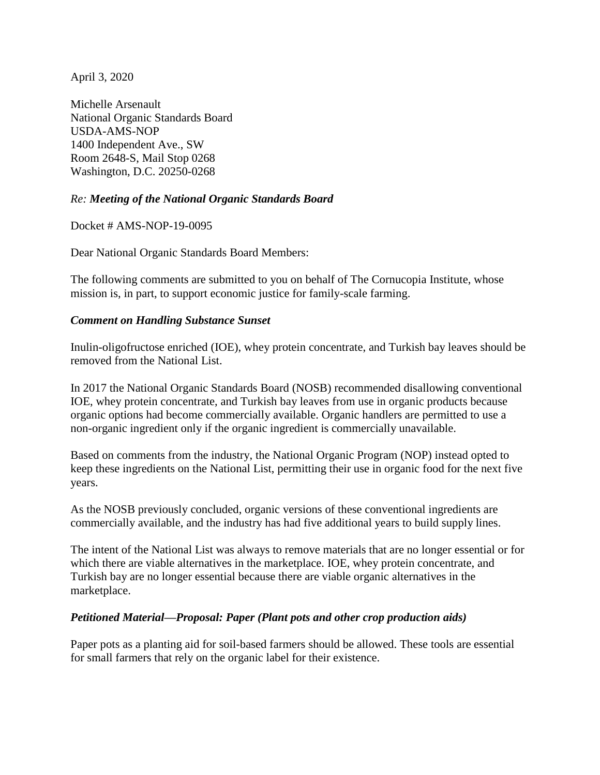April 3, 2020

Michelle Arsenault National Organic Standards Board USDA-AMS-NOP 1400 Independent Ave., SW Room 2648-S, Mail Stop 0268 Washington, D.C. 20250-0268

## *Re: Meeting of the National Organic Standards Board*

Docket # AMS-NOP-19-0095

Dear National Organic Standards Board Members:

The following comments are submitted to you on behalf of The Cornucopia Institute, whose mission is, in part, to support economic justice for family-scale farming.

### *Comment on Handling Substance Sunset*

Inulin-oligofructose enriched (IOE), whey protein concentrate, and Turkish bay leaves should be removed from the National List.

In 2017 the National Organic Standards Board (NOSB) recommended disallowing conventional IOE, whey protein concentrate, and Turkish bay leaves from use in organic products because organic options had become commercially available. Organic handlers are permitted to use a non-organic ingredient only if the organic ingredient is commercially unavailable.

Based on comments from the industry, the National Organic Program (NOP) instead opted to keep these ingredients on the National List, permitting their use in organic food for the next five years.

As the NOSB previously concluded, organic versions of these conventional ingredients are commercially available, and the industry has had five additional years to build supply lines.

The intent of the National List was always to remove materials that are no longer essential or for which there are viable alternatives in the marketplace. IOE, whey protein concentrate, and Turkish bay are no longer essential because there are viable organic alternatives in the marketplace.

#### *Petitioned Material—Proposal: Paper (Plant pots and other crop production aids)*

Paper pots as a planting aid for soil-based farmers should be allowed. These tools are essential for small farmers that rely on the organic label for their existence.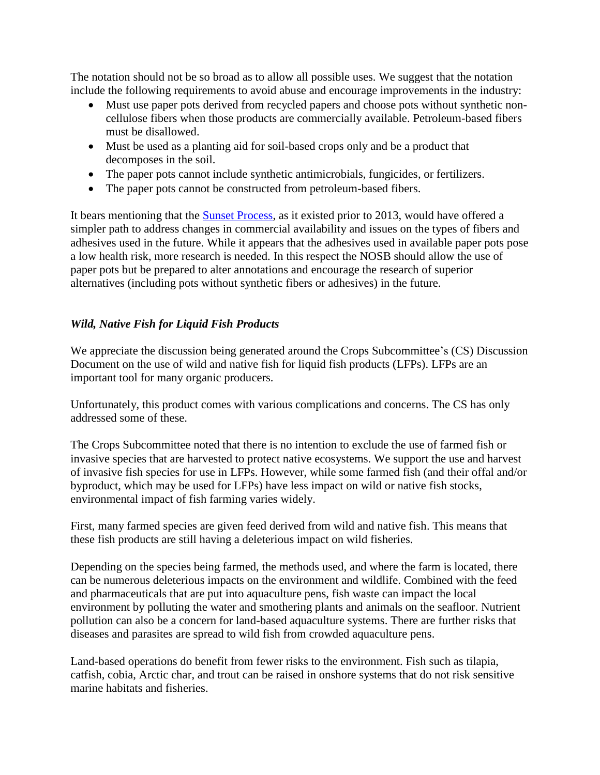The notation should not be so broad as to allow all possible uses. We suggest that the notation include the following requirements to avoid abuse and encourage improvements in the industry:

- Must use paper pots derived from recycled papers and choose pots without synthetic noncellulose fibers when those products are commercially available. Petroleum-based fibers must be disallowed.
- Must be used as a planting aid for soil-based crops only and be a product that decomposes in the soil.
- The paper pots cannot include synthetic antimicrobials, fungicides, or fertilizers.
- The paper pots cannot be constructed from petroleum-based fibers.

It bears mentioning that the [Sunset Process,](https://www.cornucopia.org/2014/01/usda-power-grab/) as it existed prior to 2013, would have offered a simpler path to address changes in commercial availability and issues on the types of fibers and adhesives used in the future. While it appears that the adhesives used in available paper pots pose a low health risk, more research is needed. In this respect the NOSB should allow the use of paper pots but be prepared to alter annotations and encourage the research of superior alternatives (including pots without synthetic fibers or adhesives) in the future.

# *Wild, Native Fish for Liquid Fish Products*

We appreciate the discussion being generated around the Crops Subcommittee's (CS) Discussion Document on the use of wild and native fish for liquid fish products (LFPs). LFPs are an important tool for many organic producers.

Unfortunately, this product comes with various complications and concerns. The CS has only addressed some of these.

The Crops Subcommittee noted that there is no intention to exclude the use of farmed fish or invasive species that are harvested to protect native ecosystems. We support the use and harvest of invasive fish species for use in LFPs. However, while some farmed fish (and their offal and/or byproduct, which may be used for LFPs) have less impact on wild or native fish stocks, environmental impact of fish farming varies widely.

First, many farmed species are given feed derived from wild and native fish. This means that these fish products are still having a deleterious impact on wild fisheries.

Depending on the species being farmed, the methods used, and where the farm is located, there can be numerous deleterious impacts on the environment and wildlife. Combined with the feed and pharmaceuticals that are put into aquaculture pens, fish waste can impact the local environment by polluting the water and smothering plants and animals on the seafloor. Nutrient pollution can also be a concern for land-based aquaculture systems. There are further risks that diseases and parasites are spread to wild fish from crowded aquaculture pens.

Land-based operations do benefit from fewer risks to the environment. Fish such as tilapia, catfish, cobia, Arctic char, and trout can be raised in onshore systems that do not risk sensitive marine habitats and fisheries.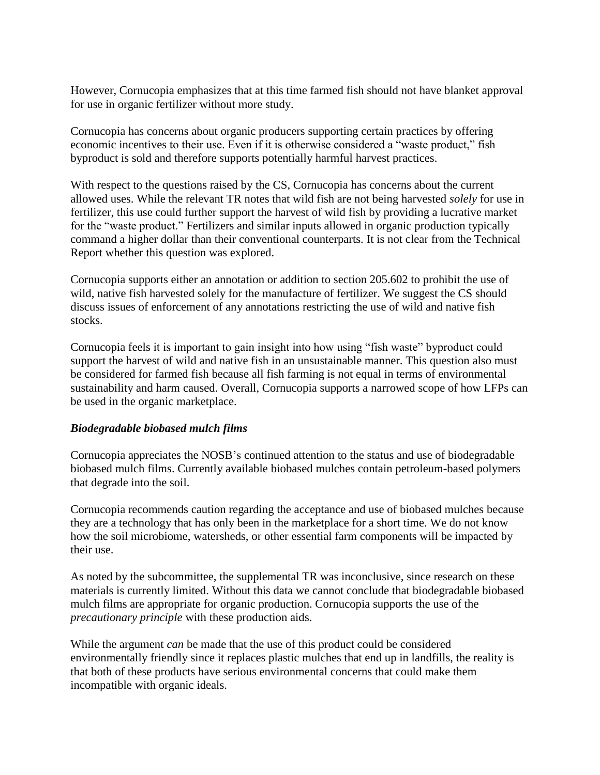However, Cornucopia emphasizes that at this time farmed fish should not have blanket approval for use in organic fertilizer without more study.

Cornucopia has concerns about organic producers supporting certain practices by offering economic incentives to their use. Even if it is otherwise considered a "waste product," fish byproduct is sold and therefore supports potentially harmful harvest practices.

With respect to the questions raised by the CS, Cornucopia has concerns about the current allowed uses. While the relevant TR notes that wild fish are not being harvested *solely* for use in fertilizer, this use could further support the harvest of wild fish by providing a lucrative market for the "waste product." Fertilizers and similar inputs allowed in organic production typically command a higher dollar than their conventional counterparts. It is not clear from the Technical Report whether this question was explored.

Cornucopia supports either an annotation or addition to section 205.602 to prohibit the use of wild, native fish harvested solely for the manufacture of fertilizer. We suggest the CS should discuss issues of enforcement of any annotations restricting the use of wild and native fish stocks.

Cornucopia feels it is important to gain insight into how using "fish waste" byproduct could support the harvest of wild and native fish in an unsustainable manner. This question also must be considered for farmed fish because all fish farming is not equal in terms of environmental sustainability and harm caused. Overall, Cornucopia supports a narrowed scope of how LFPs can be used in the organic marketplace.

#### *Biodegradable biobased mulch films*

Cornucopia appreciates the NOSB's continued attention to the status and use of biodegradable biobased mulch films. Currently available biobased mulches contain petroleum-based polymers that degrade into the soil.

Cornucopia recommends caution regarding the acceptance and use of biobased mulches because they are a technology that has only been in the marketplace for a short time. We do not know how the soil microbiome, watersheds, or other essential farm components will be impacted by their use.

As noted by the subcommittee, the supplemental TR was inconclusive, since research on these materials is currently limited. Without this data we cannot conclude that biodegradable biobased mulch films are appropriate for organic production. Cornucopia supports the use of the *precautionary principle* with these production aids.

While the argument *can* be made that the use of this product could be considered environmentally friendly since it replaces plastic mulches that end up in landfills, the reality is that both of these products have serious environmental concerns that could make them incompatible with organic ideals.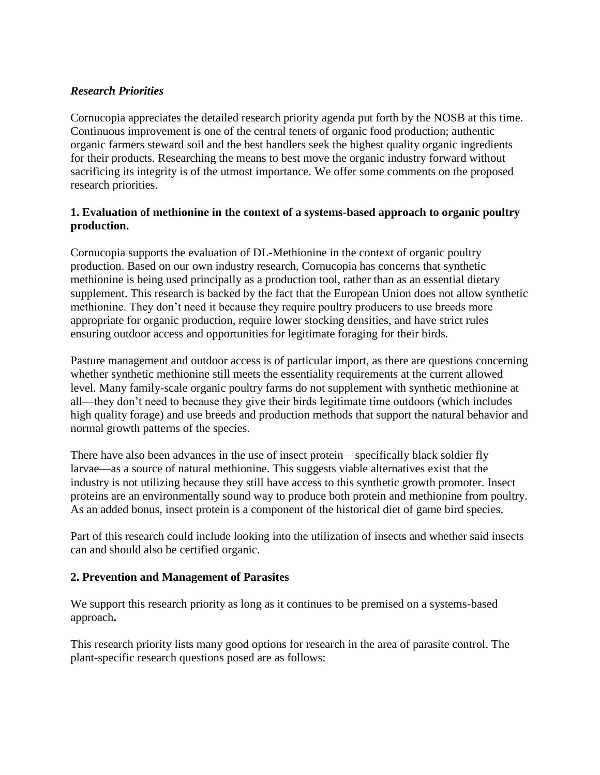### *Research Priorities*

Cornucopia appreciates the detailed research priority agenda put forth by the NOSB at this time. Continuous improvement is one of the central tenets of organic food production; authentic organic farmers steward soil and the best handlers seek the highest quality organic ingredients for their products. Researching the means to best move the organic industry forward without sacrificing its integrity is of the utmost importance. We offer some comments on the proposed research priorities.

### **1. Evaluation of methionine in the context of a systems-based approach to organic poultry production.**

Cornucopia supports the evaluation of DL-Methionine in the context of organic poultry production. Based on our own industry research, Cornucopia has concerns that synthetic methionine is being used principally as a production tool, rather than as an essential dietary supplement. This research is backed by the fact that the European Union does not allow synthetic methionine. They don't need it because they require poultry producers to use breeds more appropriate for organic production, require lower stocking densities, and have strict rules ensuring outdoor access and opportunities for legitimate foraging for their birds.

Pasture management and outdoor access is of particular import, as there are questions concerning whether synthetic methionine still meets the essentiality requirements at the current allowed level. Many family-scale organic poultry farms do not supplement with synthetic methionine at all—they don't need to because they give their birds legitimate time outdoors (which includes high quality forage) and use breeds and production methods that support the natural behavior and normal growth patterns of the species.

There have also been advances in the use of insect protein—specifically black soldier fly larvae—as a source of natural methionine. This suggests viable alternatives exist that the industry is not utilizing because they still have access to this synthetic growth promoter. Insect proteins are an environmentally sound way to produce both protein and methionine from poultry. As an added bonus, insect protein is a component of the historical diet of game bird species.

Part of this research could include looking into the utilization of insects and whether said insects can and should also be certified organic.

#### **2. Prevention and Management of Parasites**

We support this research priority as long as it continues to be premised on a systems-based approach**.** 

This research priority lists many good options for research in the area of parasite control. The plant-specific research questions posed are as follows: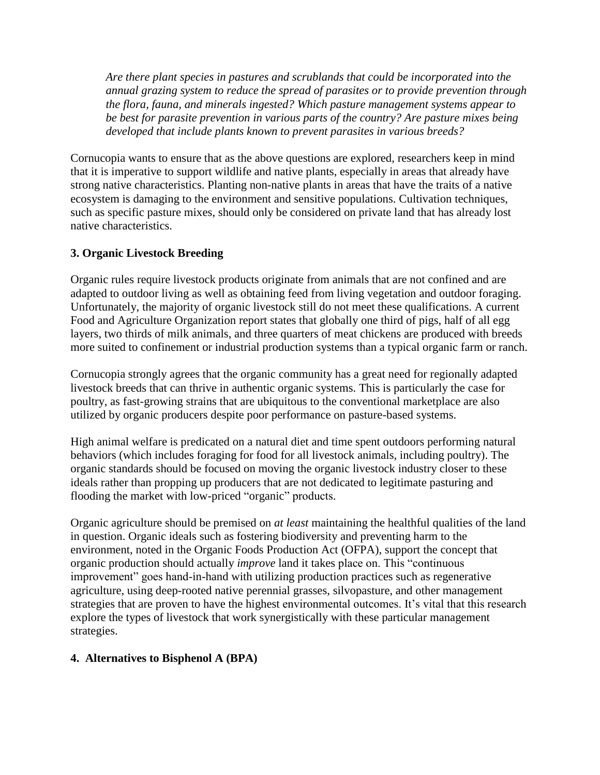*Are there plant species in pastures and scrublands that could be incorporated into the annual grazing system to reduce the spread of parasites or to provide prevention through the flora, fauna, and minerals ingested? Which pasture management systems appear to be best for parasite prevention in various parts of the country? Are pasture mixes being developed that include plants known to prevent parasites in various breeds?*

Cornucopia wants to ensure that as the above questions are explored, researchers keep in mind that it is imperative to support wildlife and native plants, especially in areas that already have strong native characteristics. Planting non-native plants in areas that have the traits of a native ecosystem is damaging to the environment and sensitive populations. Cultivation techniques, such as specific pasture mixes, should only be considered on private land that has already lost native characteristics.

# **3. Organic Livestock Breeding**

Organic rules require livestock products originate from animals that are not confined and are adapted to outdoor living as well as obtaining feed from living vegetation and outdoor foraging. Unfortunately, the majority of organic livestock still do not meet these qualifications. A current Food and Agriculture Organization report states that globally one third of pigs, half of all egg layers, two thirds of milk animals, and three quarters of meat chickens are produced with breeds more suited to confinement or industrial production systems than a typical organic farm or ranch.

Cornucopia strongly agrees that the organic community has a great need for regionally adapted livestock breeds that can thrive in authentic organic systems. This is particularly the case for poultry, as fast-growing strains that are ubiquitous to the conventional marketplace are also utilized by organic producers despite poor performance on pasture-based systems.

High animal welfare is predicated on a natural diet and time spent outdoors performing natural behaviors (which includes foraging for food for all livestock animals, including poultry). The organic standards should be focused on moving the organic livestock industry closer to these ideals rather than propping up producers that are not dedicated to legitimate pasturing and flooding the market with low-priced "organic" products.

Organic agriculture should be premised on *at least* maintaining the healthful qualities of the land in question. Organic ideals such as fostering biodiversity and preventing harm to the environment, noted in the Organic Foods Production Act (OFPA), support the concept that organic production should actually *improve* land it takes place on. This "continuous improvement" goes hand-in-hand with utilizing production practices such as regenerative agriculture, using deep-rooted native perennial grasses, silvopasture, and other management strategies that are proven to have the highest environmental outcomes. It's vital that this research explore the types of livestock that work synergistically with these particular management strategies.

## **4. Alternatives to Bisphenol A (BPA)**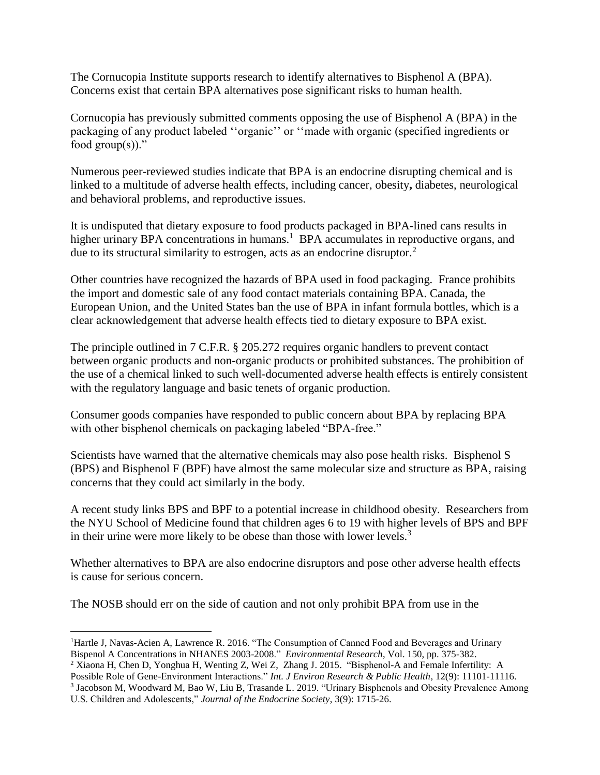The Cornucopia Institute supports research to identify alternatives to Bisphenol A (BPA). Concerns exist that certain BPA alternatives pose significant risks to human health.

Cornucopia has previously submitted comments opposing the use of Bisphenol A (BPA) in the packaging of any product labeled ''organic'' or ''made with organic (specified ingredients or food  $group(s))$ ."

Numerous peer-reviewed studies indicate that BPA is an endocrine disrupting chemical and is linked to a multitude of adverse health effects, including cancer, obesity**,** diabetes, neurological and behavioral problems, and reproductive issues.

It is undisputed that dietary exposure to food products packaged in BPA-lined cans results in higher urinary BPA concentrations in humans.<sup>1</sup> BPA accumulates in reproductive organs, and due to its structural similarity to estrogen, acts as an endocrine disruptor.<sup>2</sup>

Other countries have recognized the hazards of BPA used in food packaging. France prohibits the import and domestic sale of any food contact materials containing BPA. Canada, the European Union, and the United States ban the use of BPA in infant formula bottles, which is a clear acknowledgement that adverse health effects tied to dietary exposure to BPA exist.

The principle outlined in 7 C.F.R. § 205.272 requires organic handlers to prevent contact between organic products and non-organic products or prohibited substances. The prohibition of the use of a chemical linked to such well-documented adverse health effects is entirely consistent with the regulatory language and basic tenets of organic production.

Consumer goods companies have responded to public concern about BPA by replacing BPA with other bisphenol chemicals on packaging labeled "BPA-free."

Scientists have warned that the alternative chemicals may also pose health risks. Bisphenol S (BPS) and Bisphenol F (BPF) have almost the same molecular size and structure as BPA, raising concerns that they could act similarly in the body.

A recent study links BPS and BPF to a potential increase in childhood obesity. Researchers from the NYU School of Medicine found that children ages 6 to 19 with higher levels of BPS and BPF in their urine were more likely to be obese than those with lower levels.<sup>3</sup>

Whether alternatives to BPA are also endocrine disruptors and pose other adverse health effects is cause for serious concern.

The NOSB should err on the side of caution and not only prohibit BPA from use in the

<sup>2</sup> Xiaona H, Chen D, Yonghua H, Wenting Z, Wei Z, Zhang J. 2015. "Bisphenol-A and Female Infertility: A

 $\overline{a}$ <sup>1</sup>Hartle J, Navas-Acien A, Lawrence R. 2016. "The Consumption of Canned Food and Beverages and Urinary Bispenol A Concentrations in NHANES 2003-2008." *Environmental Research*, Vol. 150, pp. 375-382.

Possible Role of Gene-Environment Interactions." *Int. J Environ Research & Public Health*, 12(9): 11101-11116.

<sup>3</sup> Jacobson M, Woodward M, Bao W, Liu B, Trasande L. 2019. "Urinary Bisphenols and Obesity Prevalence Among U.S. Children and Adolescents," *Journal of the Endocrine Society*, 3(9): 1715-26.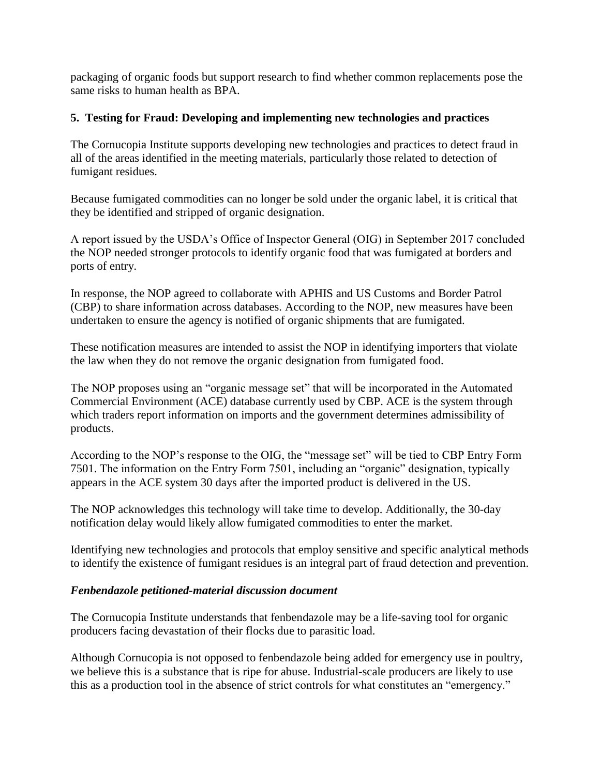packaging of organic foods but support research to find whether common replacements pose the same risks to human health as BPA.

## **5. Testing for Fraud: Developing and implementing new technologies and practices**

The Cornucopia Institute supports developing new technologies and practices to detect fraud in all of the areas identified in the meeting materials, particularly those related to detection of fumigant residues.

Because fumigated commodities can no longer be sold under the organic label, it is critical that they be identified and stripped of organic designation.

A report issued by the USDA's Office of Inspector General (OIG) in September 2017 concluded the NOP needed stronger protocols to identify organic food that was fumigated at borders and ports of entry.

In response, the NOP agreed to collaborate with APHIS and US Customs and Border Patrol (CBP) to share information across databases. According to the NOP, new measures have been undertaken to ensure the agency is notified of organic shipments that are fumigated.

These notification measures are intended to assist the NOP in identifying importers that violate the law when they do not remove the organic designation from fumigated food.

The NOP proposes using an "organic message set" that will be incorporated in the Automated Commercial Environment (ACE) database currently used by CBP. ACE is the system through which traders report information on imports and the government determines admissibility of products.

According to the NOP's response to the OIG, the "message set" will be tied to CBP Entry Form 7501. The information on the Entry Form 7501, including an "organic" designation, typically appears in the ACE system 30 days after the imported product is delivered in the US.

The NOP acknowledges this technology will take time to develop. Additionally, the 30-day notification delay would likely allow fumigated commodities to enter the market.

Identifying new technologies and protocols that employ sensitive and specific analytical methods to identify the existence of fumigant residues is an integral part of fraud detection and prevention.

## *Fenbendazole petitioned-material discussion document*

The Cornucopia Institute understands that fenbendazole may be a life-saving tool for organic producers facing devastation of their flocks due to parasitic load.

Although Cornucopia is not opposed to fenbendazole being added for emergency use in poultry, we believe this is a substance that is ripe for abuse. Industrial-scale producers are likely to use this as a production tool in the absence of strict controls for what constitutes an "emergency."